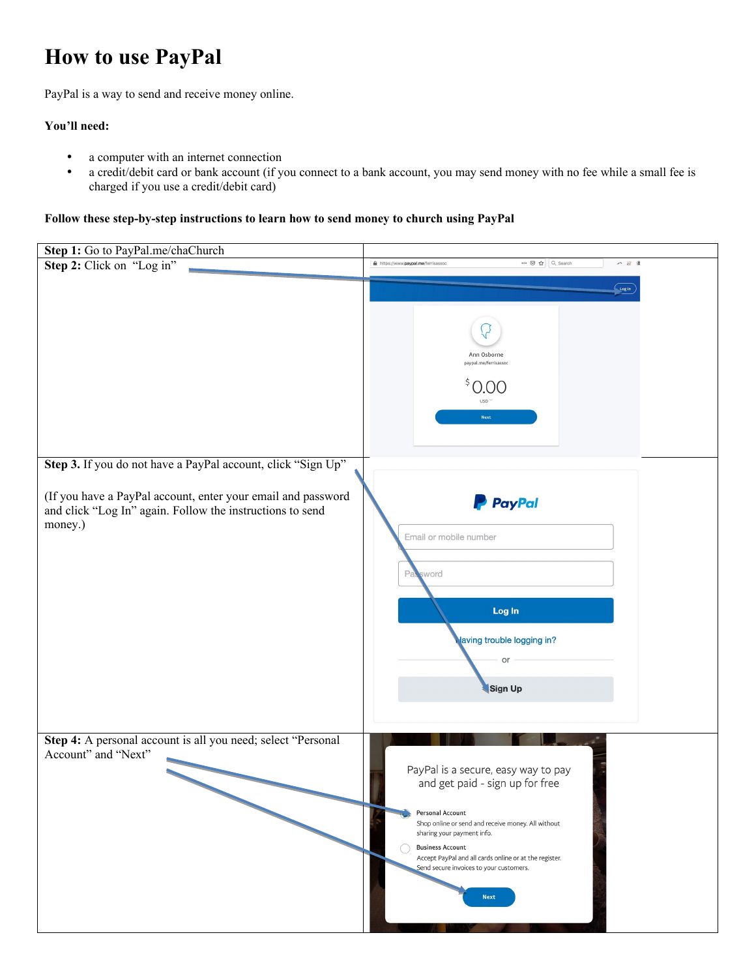## **How to use PayPal**

PayPal is a way to send and receive money online.

## **You'll need:**

- a computer with an internet connection<br>• a credit/debit card or bank account (if you
- a credit/debit card or bank account (if you connect to a bank account, you may send money with no fee while a small fee is charged if you use a credit/debit card)

**Follow these step-by-step instructions to learn how to send money to church using PayPal**

| Step 1: Go to PayPal.me/chaChurch                                                                                                    |                                                                                                                                                                                                                                                                                                                               |
|--------------------------------------------------------------------------------------------------------------------------------------|-------------------------------------------------------------------------------------------------------------------------------------------------------------------------------------------------------------------------------------------------------------------------------------------------------------------------------|
| Step 2: Click on "Log in"                                                                                                            | https://www.paypal.me/ferrisassoc<br>… ⊙☆ Q Search<br>$A \times B$                                                                                                                                                                                                                                                            |
|                                                                                                                                      | $\left(\begin{array}{c} \log n \end{array}\right)$<br>Ann Osborne<br>paypal.me/ferrisassoc<br>\$0.00<br><b>USD</b><br>Next                                                                                                                                                                                                    |
| Step 3. If you do not have a PayPal account, click "Sign Up"                                                                         |                                                                                                                                                                                                                                                                                                                               |
| (If you have a PayPal account, enter your email and password<br>and click "Log In" again. Follow the instructions to send<br>money.) | <b>P</b> PayPal<br>Email or mobile number<br>Password<br>Log In<br>laving trouble logging in?<br>or<br>Sign Up                                                                                                                                                                                                                |
| Step 4: A personal account is all you need; select "Personal<br>Account" and "Next"                                                  | PayPal is a secure, easy way to pay<br>and get paid - sign up for free<br>Personal Account<br>Shop online or send and receive money. All without<br>sharing your payment info.<br><b>Business Account</b><br>Accept PayPal and all cards online or at the register.<br>Send secure invoices to your customers.<br><b>Next</b> |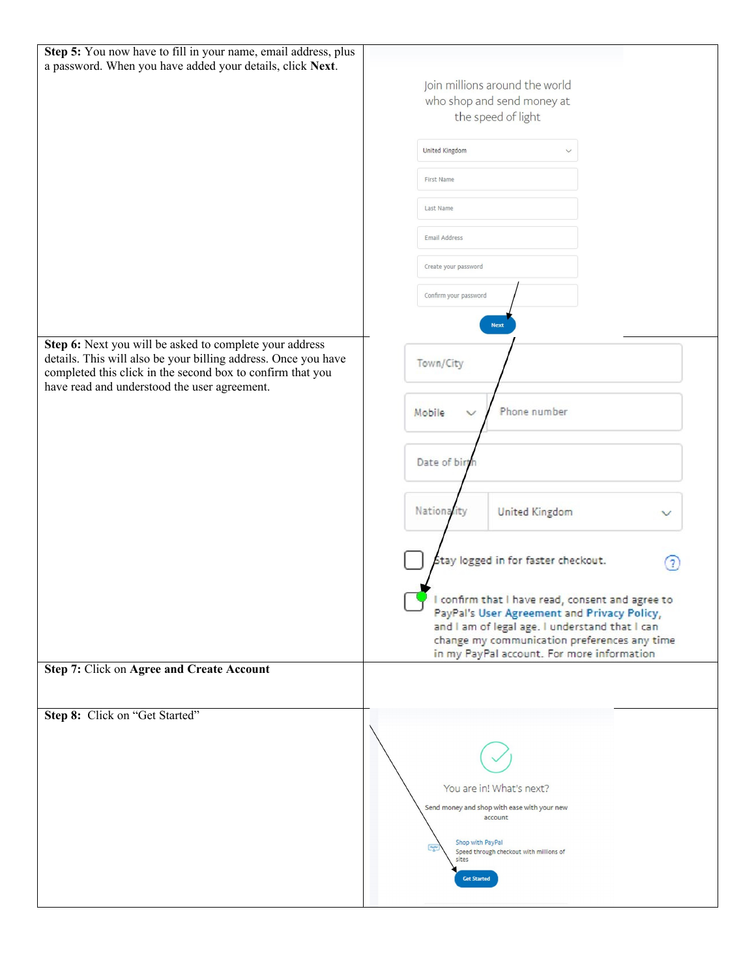| Step 5: You now have to fill in your name, email address, plus<br>a password. When you have added your details, click Next.                                                             |                                                                                                 |
|-----------------------------------------------------------------------------------------------------------------------------------------------------------------------------------------|-------------------------------------------------------------------------------------------------|
|                                                                                                                                                                                         | Join millions around the world                                                                  |
|                                                                                                                                                                                         | who shop and send money at<br>the speed of light                                                |
|                                                                                                                                                                                         |                                                                                                 |
|                                                                                                                                                                                         | United Kingdom<br>$\checkmark$                                                                  |
|                                                                                                                                                                                         | First Name                                                                                      |
|                                                                                                                                                                                         | Last Name                                                                                       |
|                                                                                                                                                                                         | Email Address                                                                                   |
|                                                                                                                                                                                         | Create your password                                                                            |
|                                                                                                                                                                                         | Confirm your password                                                                           |
|                                                                                                                                                                                         | <b>Next</b>                                                                                     |
| Step 6: Next you will be asked to complete your address<br>details. This will also be your billing address. Once you have<br>completed this click in the second box to confirm that you | Town/City                                                                                       |
| have read and understood the user agreement.                                                                                                                                            | Phone number<br>Mobile                                                                          |
|                                                                                                                                                                                         |                                                                                                 |
|                                                                                                                                                                                         | Date of birt                                                                                    |
|                                                                                                                                                                                         |                                                                                                 |
|                                                                                                                                                                                         | Nationality<br><b>United Kingdom</b><br>v                                                       |
|                                                                                                                                                                                         |                                                                                                 |
|                                                                                                                                                                                         | Stay logged in for faster checkout.                                                             |
|                                                                                                                                                                                         |                                                                                                 |
|                                                                                                                                                                                         | I confirm that I have read, consent and agree to<br>PayPal's User Agreement and Privacy Policy, |
|                                                                                                                                                                                         | and I am of legal age. I understand that I can<br>change my communication preferences any time  |
|                                                                                                                                                                                         | in my PayPal account. For more information                                                      |
| Step 7: Click on Agree and Create Account                                                                                                                                               |                                                                                                 |
| Step 8: Click on "Get Started"                                                                                                                                                          |                                                                                                 |
|                                                                                                                                                                                         |                                                                                                 |
|                                                                                                                                                                                         |                                                                                                 |
|                                                                                                                                                                                         | You are in! What's next?                                                                        |
|                                                                                                                                                                                         | Send money and shop with ease with your new<br>account                                          |
|                                                                                                                                                                                         | Shop with PayPal                                                                                |
|                                                                                                                                                                                         | Speed through checkout with millions of<br>sites                                                |
|                                                                                                                                                                                         | <b>Get Started</b>                                                                              |
|                                                                                                                                                                                         |                                                                                                 |